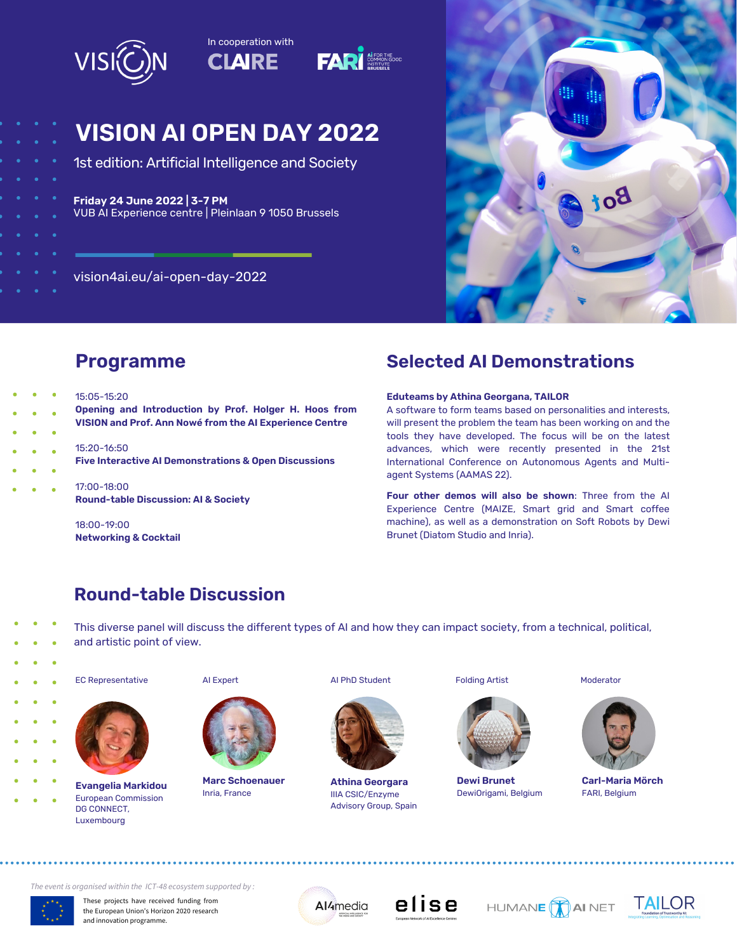

# **VISION AI OPEN DAY 2022**

1st edition: Artificial Intelligence and Society

### **Friday 24 June 2022 | 3-7 PM**

VUB AI Experience centre | Pleinlaan 9 1050 Brussels

vision4ai.eu/ai-open-day-2022



# **Programme**

- 15:05-15:20
	- **Opening and Introduction by Prof. Holger H. Hoos from VISION and Prof. Ann Nowé from the AI Experience Centre**
		- 15:20-16:50
		- **Five Interactive AI Demonstrations & Open Discussions**
		- 17:00-18:00 **Round-table Discussion: AI & Society**

18:00-19:00 **Networking & Cocktail**

# **Selected AI Demonstrations**

#### **Eduteams by Athina Georgana, TAILOR**

A software to form teams based on personalities and interests, will present the problem the team has been working on and the tools they have developed. The focus will be on the latest advances, which were recently presented in the 21st International Conference on Autonomous Agents and Multiagent Systems (AAMAS 22).

**Four other demos will also be shown**: Three from the AI Experience Centre (MAIZE, Smart grid and Smart coffee machine), as well as a demonstration on Soft Robots by Dewi Brunet (Diatom Studio and Inria).

# **Round-table Discussion**

This diverse panel will discuss the different types of AI and how they can impact society, from a technical, political,

and artistic point of view.  $\ddot{\bullet}$ 



EC Representative AI Expert AI PhD Student Folding Artist Moderator



**Evangelia Markidou** European Commission DG CONNECT, Luxembourg





**Marc Schoenauer** Inria, France



**Athina Georgara** IIIA CSIC/Enzyme Advisory Group, Spain



**Dewi Brunet** DewiOrigami, Belgium



**Carl-Maria Mörch** FARI, Belgium

*The event is organised within the ICT-48 ecosystem supported by :*



These projects have received funding from the European Union's Horizon 2020 research and innovation programme.